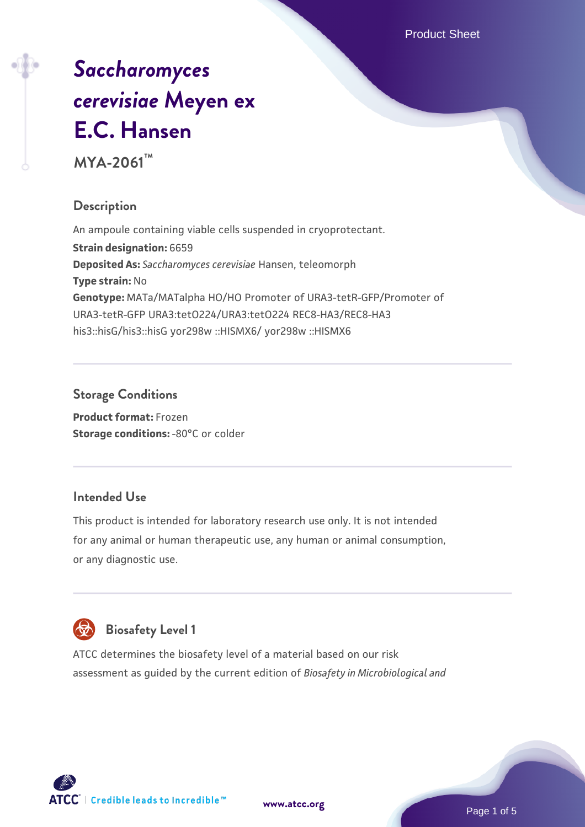Product Sheet

# *[Saccharomyces](https://www.atcc.org/products/mya-2061) [cerevisiae](https://www.atcc.org/products/mya-2061)* **[Meyen ex](https://www.atcc.org/products/mya-2061) [E.C. Hansen](https://www.atcc.org/products/mya-2061)**

**MYA-2061™**

# **Description**

An ampoule containing viable cells suspended in cryoprotectant. **Strain designation:** 6659 **Deposited As:** *Saccharomyces cerevisiae* Hansen, teleomorph **Type strain:** No **Genotype:** MATa/MATalpha HO/HO Promoter of URA3-tetR-GFP/Promoter of URA3-tetR-GFP URA3:tetO224/URA3:tetO224 REC8-HA3/REC8-HA3 his3::hisG/his3::hisG yor298w ::HISMX6/ yor298w ::HISMX6

# **Storage Conditions**

**Product format:** Frozen **Storage conditions: -80°C or colder** 

# **Intended Use**

This product is intended for laboratory research use only. It is not intended for any animal or human therapeutic use, any human or animal consumption, or any diagnostic use.



# **Biosafety Level 1**

ATCC determines the biosafety level of a material based on our risk assessment as guided by the current edition of *Biosafety in Microbiological and*

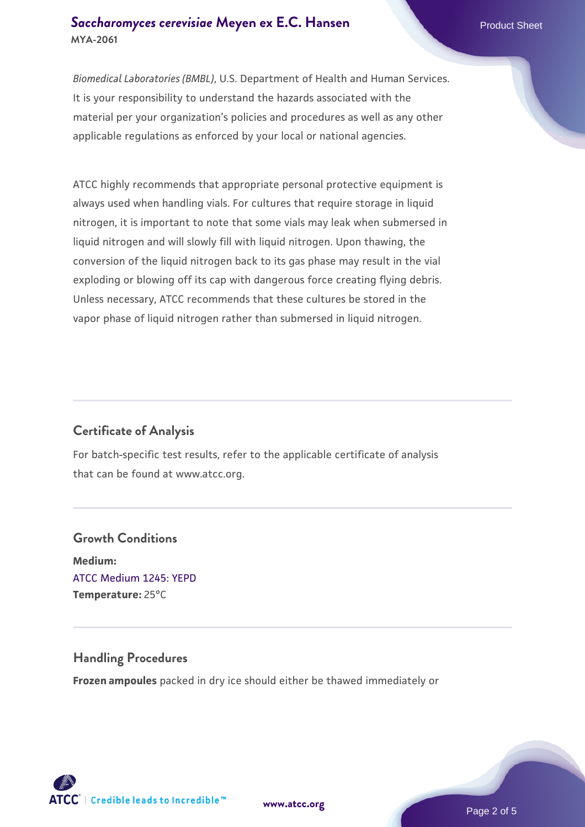#### **[Saccharomyces cerevisiae](https://www.atcc.org/products/mya-2061)** [Meyen ex E.C. Hansen](https://www.atcc.org/products/mya-2061) **MYA-2061**

*Biomedical Laboratories (BMBL)*, U.S. Department of Health and Human Services. It is your responsibility to understand the hazards associated with the material per your organization's policies and procedures as well as any other applicable regulations as enforced by your local or national agencies.

ATCC highly recommends that appropriate personal protective equipment is always used when handling vials. For cultures that require storage in liquid nitrogen, it is important to note that some vials may leak when submersed in liquid nitrogen and will slowly fill with liquid nitrogen. Upon thawing, the conversion of the liquid nitrogen back to its gas phase may result in the vial exploding or blowing off its cap with dangerous force creating flying debris. Unless necessary, ATCC recommends that these cultures be stored in the vapor phase of liquid nitrogen rather than submersed in liquid nitrogen.

# **Certificate of Analysis**

For batch-specific test results, refer to the applicable certificate of analysis that can be found at www.atcc.org.

# **Growth Conditions Medium:**  [ATCC Medium 1245: YEPD](https://www.atcc.org/-/media/product-assets/documents/microbial-media-formulations/1/2/4/5/atcc-medium-1245.pdf?rev=705ca55d1b6f490a808a965d5c072196) **Temperature:** 25°C

# **Handling Procedures**

**Frozen ampoules** packed in dry ice should either be thawed immediately or

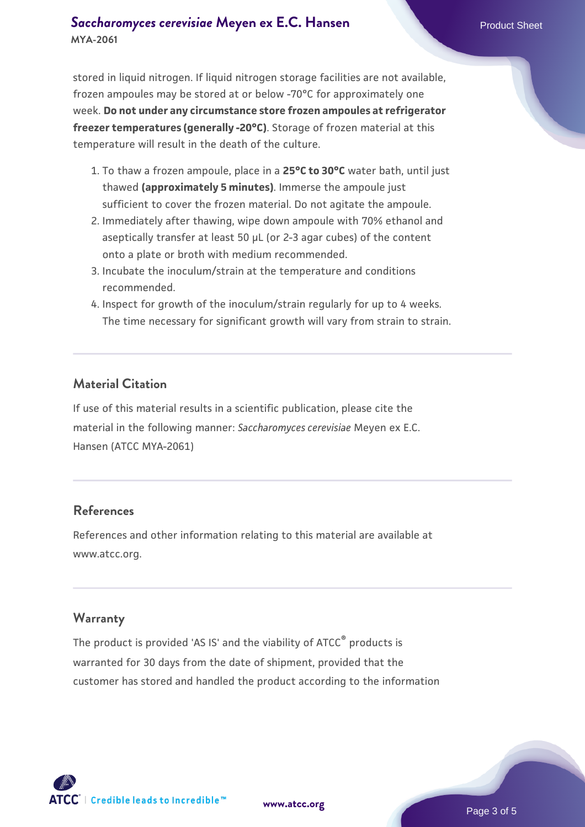### **[Saccharomyces cerevisiae](https://www.atcc.org/products/mya-2061)** [Meyen ex E.C. Hansen](https://www.atcc.org/products/mya-2061) **MYA-2061**

stored in liquid nitrogen. If liquid nitrogen storage facilities are not available, frozen ampoules may be stored at or below -70°C for approximately one week. **Do not under any circumstance store frozen ampoules at refrigerator freezer temperatures (generally -20°C)**. Storage of frozen material at this temperature will result in the death of the culture.

- 1. To thaw a frozen ampoule, place in a **25°C to 30°C** water bath, until just thawed **(approximately 5 minutes)**. Immerse the ampoule just sufficient to cover the frozen material. Do not agitate the ampoule.
- 2. Immediately after thawing, wipe down ampoule with 70% ethanol and aseptically transfer at least 50 µL (or 2-3 agar cubes) of the content onto a plate or broth with medium recommended.
- 3. Incubate the inoculum/strain at the temperature and conditions recommended.
- 4. Inspect for growth of the inoculum/strain regularly for up to 4 weeks. The time necessary for significant growth will vary from strain to strain.

#### **Material Citation**

If use of this material results in a scientific publication, please cite the material in the following manner: *Saccharomyces cerevisiae* Meyen ex E.C. Hansen (ATCC MYA-2061)

#### **References**

References and other information relating to this material are available at www.atcc.org.

#### **Warranty**

The product is provided 'AS IS' and the viability of ATCC® products is warranted for 30 days from the date of shipment, provided that the customer has stored and handled the product according to the information

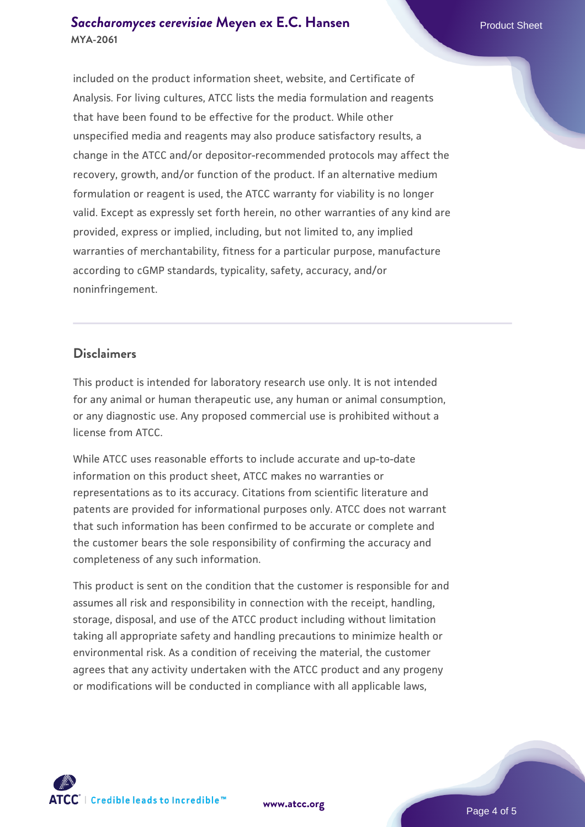#### **[Saccharomyces cerevisiae](https://www.atcc.org/products/mya-2061)** [Meyen ex E.C. Hansen](https://www.atcc.org/products/mya-2061) **MYA-2061**

included on the product information sheet, website, and Certificate of Analysis. For living cultures, ATCC lists the media formulation and reagents that have been found to be effective for the product. While other unspecified media and reagents may also produce satisfactory results, a change in the ATCC and/or depositor-recommended protocols may affect the recovery, growth, and/or function of the product. If an alternative medium formulation or reagent is used, the ATCC warranty for viability is no longer valid. Except as expressly set forth herein, no other warranties of any kind are provided, express or implied, including, but not limited to, any implied warranties of merchantability, fitness for a particular purpose, manufacture according to cGMP standards, typicality, safety, accuracy, and/or noninfringement.

#### **Disclaimers**

This product is intended for laboratory research use only. It is not intended for any animal or human therapeutic use, any human or animal consumption, or any diagnostic use. Any proposed commercial use is prohibited without a license from ATCC.

While ATCC uses reasonable efforts to include accurate and up-to-date information on this product sheet, ATCC makes no warranties or representations as to its accuracy. Citations from scientific literature and patents are provided for informational purposes only. ATCC does not warrant that such information has been confirmed to be accurate or complete and the customer bears the sole responsibility of confirming the accuracy and completeness of any such information.

This product is sent on the condition that the customer is responsible for and assumes all risk and responsibility in connection with the receipt, handling, storage, disposal, and use of the ATCC product including without limitation taking all appropriate safety and handling precautions to minimize health or environmental risk. As a condition of receiving the material, the customer agrees that any activity undertaken with the ATCC product and any progeny or modifications will be conducted in compliance with all applicable laws,



**[www.atcc.org](http://www.atcc.org)**

Page 4 of 5